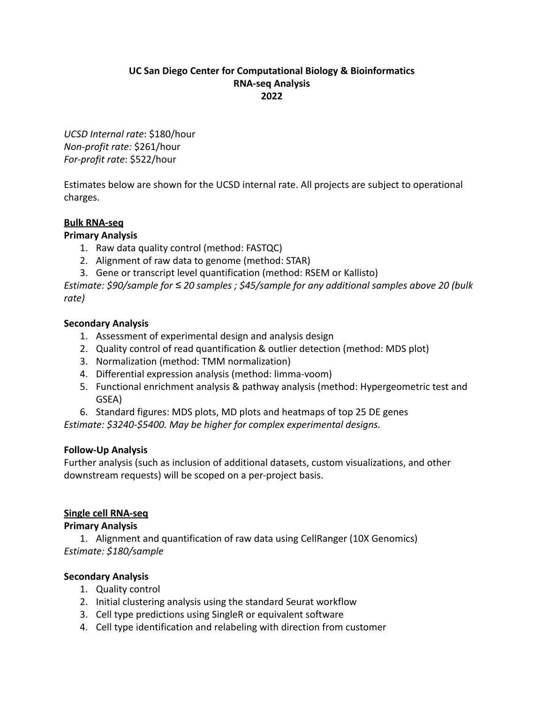### **UC San Diego Center for Computational Biology & Bioinformatics RNA-seq Analysis 2022**

*UCSD Internal rate*: \$180/hour *Non-profit rate:* \$261/hour *For-profit rate*: \$522/hour

Estimates below are shown for the UCSD internal rate. All projects are subject to operational charges.

# **Bulk RNA-seq**

## **Primary Analysis**

- 1. Raw data quality control (method: FASTQC)
- 2. Alignment of raw data to genome (method: STAR)
- 3. Gene or transcript level quantification (method: RSEM or Kallisto)

*Estimate: \$90/sample for ≤ 20 samples ; \$45/sample for any additional samples above 20 (bulk rate)*

### **Secondary Analysis**

- 1. Assessment of experimental design and analysis design
- 2. Quality control of read quantification & outlier detection (method: MDS plot)
- 3. Normalization (method: TMM normalization)
- 4. Differential expression analysis (method: limma-voom)
- 5. Functional enrichment analysis & pathway analysis (method: Hypergeometric test and GSEA)
- 6. Standard figures: MDS plots, MD plots and heatmaps of top 25 DE genes

*Estimate: \$3240-\$5400. May be higher for complex experimental designs.*

#### **Follow-Up Analysis**

Further analysis (such as inclusion of additional datasets, custom visualizations, and other downstream requests) will be scoped on a per-project basis.

## **Single cell RNA-seq**

#### **Primary Analysis**

1. Alignment and quantification of raw data using CellRanger (10X Genomics) *Estimate: \$180/sample*

## **Secondary Analysis**

- 1. Quality control
- 2. Initial clustering analysis using the standard Seurat workflow
- 3. Cell type predictions using SingleR or equivalent software
- 4. Cell type identification and relabeling with direction from customer